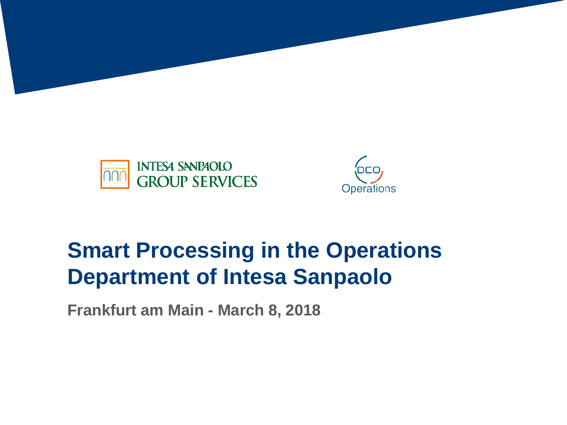



# **Smart Processing in the Operations Department of Intesa Sanpaolo**

**Frankfurt am Main - March 8, 2018**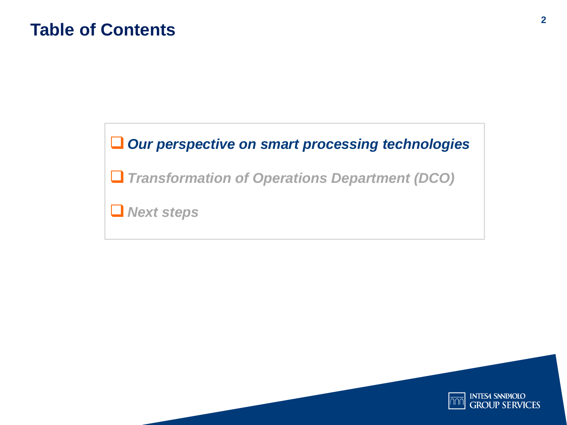# **Table of Contents <sup>2</sup>**

#### *Our perspective on smart processing technologies*

*Transformation of Operations Department (DCO)* 

*Next steps*

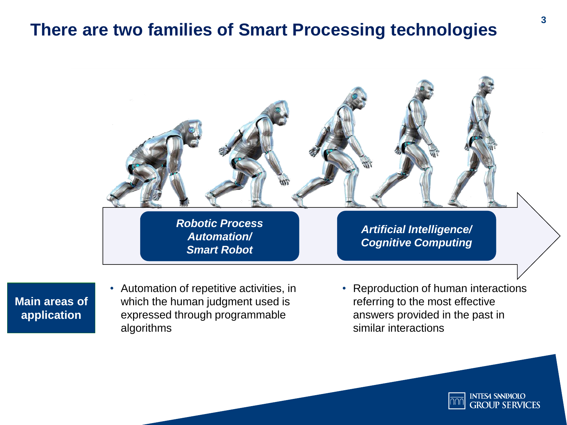### **There are two families of Smart Processing technologies**



**Main areas of application**

- Automation of repetitive activities, in which the human judgment used is expressed through programmable algorithms
- Reproduction of human interactions referring to the most effective answers provided in the past in similar interactions

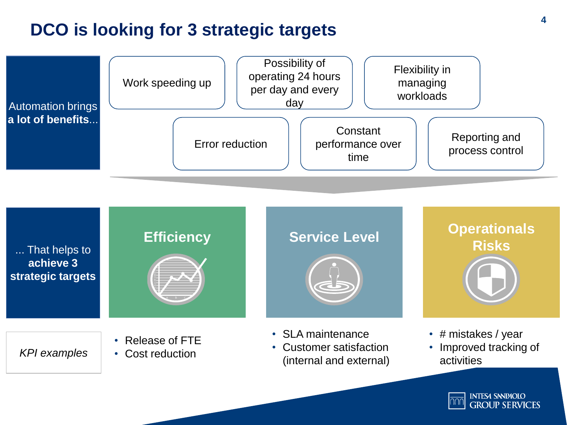## **DCO is looking for 3 strategic targets**





**INTESA SNNPAOLO GROUP SERVICES**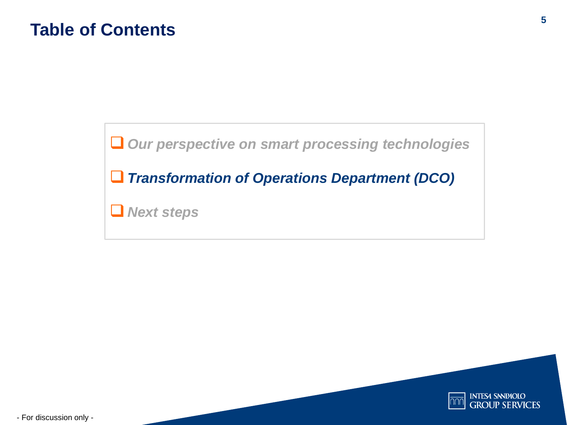*Our perspective on smart processing technologies*

*Transformation of Operations Department (DCO)* 

*Next steps*



- For discussion only -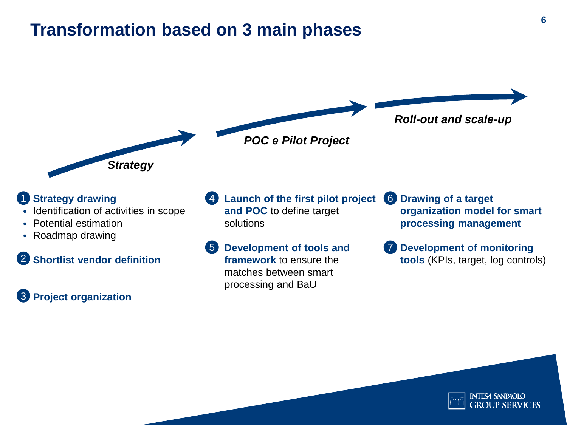### **Transformation based on 3 main phases**



#### • **Strategy drawing** 1

• Identification of activities in scope

*Strategy*

- Potential estimation
- Roadmap drawing

• **Shortlist vendor definition** 2

#### **3** Project organization

• **Launch of the first pilot project** 4 **and POC** to define target solutions

• **Development of tools and framework** to ensure the matches between smart processing and BaU 5

- **Drawing of a target**  6 **organization model for smart processing management**
- **Development of monitoring tools** (KPIs, target, log controls) 7

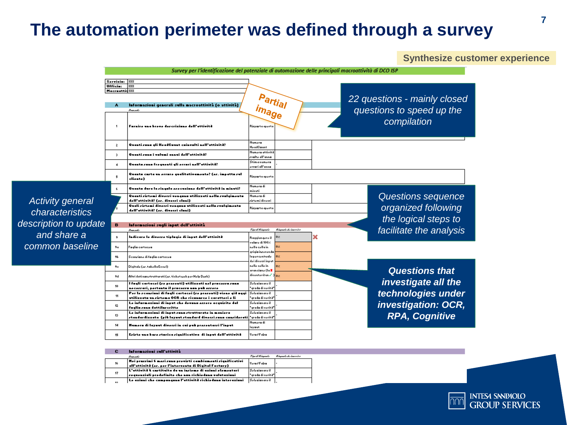#### **The automation perimeter was defined through a survey**

**Synthesize customer experience**



|    | Provok-                                                     | Tipe di Riegenbe      | Riegerh de incenier |
|----|-------------------------------------------------------------|-----------------------|---------------------|
| 16 | Nei prazrimi 6 meri runu previrti cembiamenti ziqnificativi | Vera / Falza          |                     |
|    | 'all'attività (er. per l'interventa di Digital Factury) -   |                       |                     |
| 17 | L'attività è cartituita da un inriama di aziuni alamantari  | Selezianare il        |                     |
|    | zequenziali predefinite che nun richiedunu valutaziuni      | l "arada di verità"   |                     |
| 49 | Le eximi che componenno l'ettività richiedono interezioni   | <b>Selezianare il</b> |                     |
|    |                                                             |                       |                     |

*characteristics* 

*and share a* 

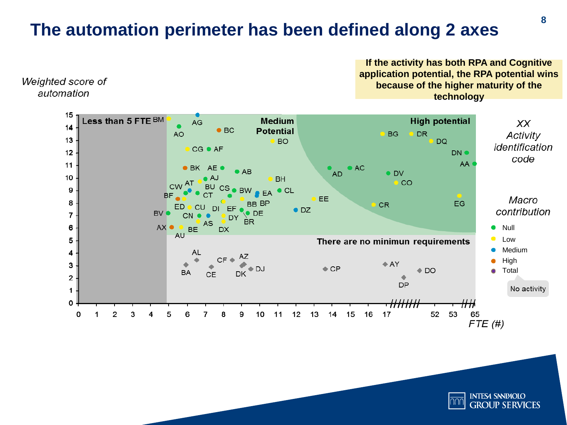## **The automation perimeter has been defined along 2 axes**



Weighted score of automation

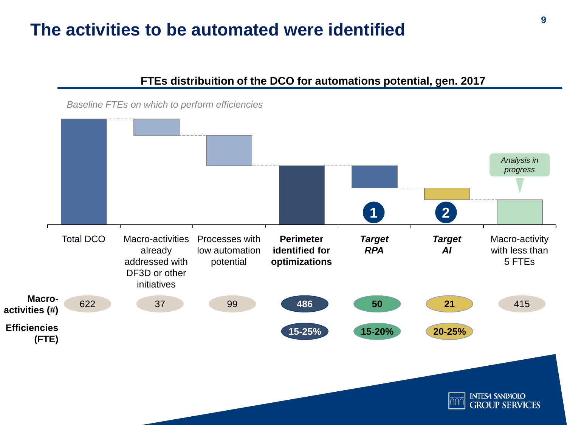### **The activities to be automated were identified**

#### **15-20% 15-25% 20-25%** *Target AI* Macro-activities already addressed with DF3D or other initiatives *Target RPA* **Perimeter identified for optimizations** Processes with low automation potential Total DCO Macro-activities Processes with Perimeter Target Target Macro-activity with less than 5 FTEs **Macroactivities (#) Efficiencies (FTE)** 622 37 99 **486 50 21** 415 **1 2** *Baseline FTEs on which to perform efficiencies Analysis in progress*

**FTEs distribuition of the DCO for automations potential, gen. 2017**

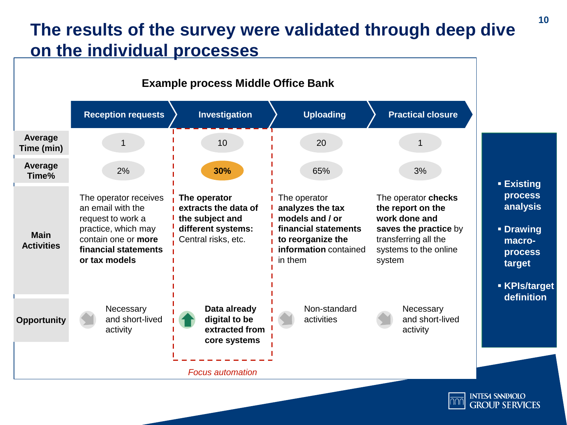## **The results of the survey were validated through deep dive on the individual processes**



**GROUP SERVICES**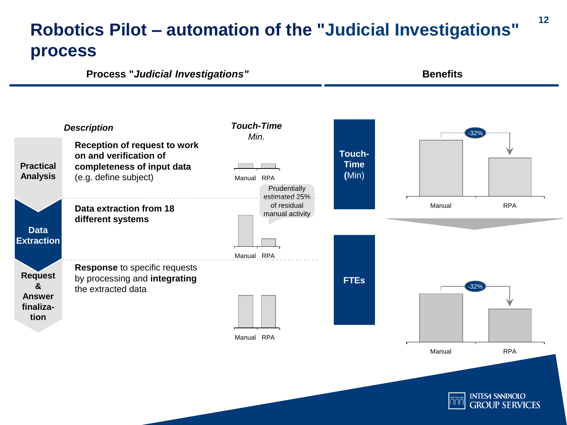## **Robotics Pilot – automation of the "Judicial Investigations" process**

**Process "***Judicial Investigations"* **Benefits**

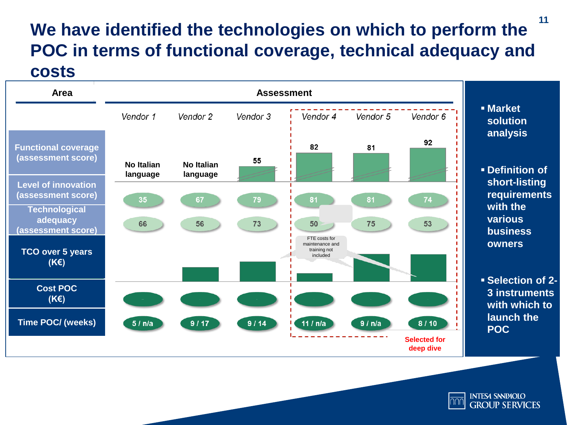#### **We have identified the technologies on which to perform the POC in terms of functional coverage, technical adequacy and costs 11**



**INTESA SNNPAOLO GROUP SERVICES**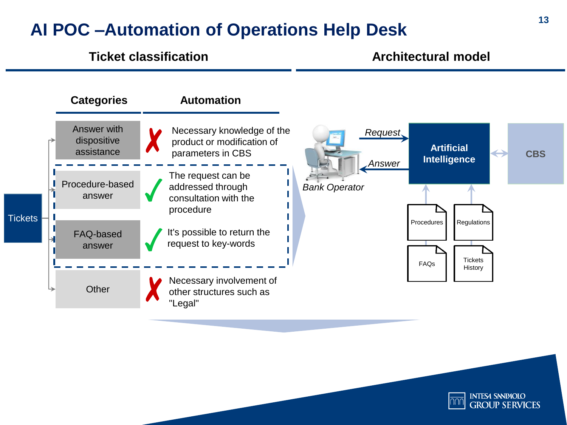### **AI POC –Automation of Operations Help Desk**

#### **Ticket classification Architectural model**



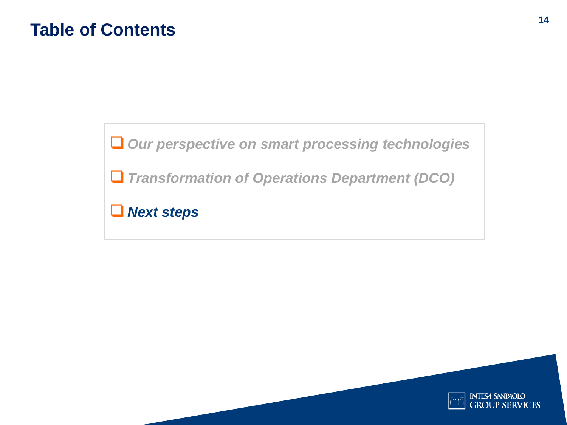*Our perspective on smart processing technologies*

*Transformation of Operations Department (DCO)* 

*Next steps*